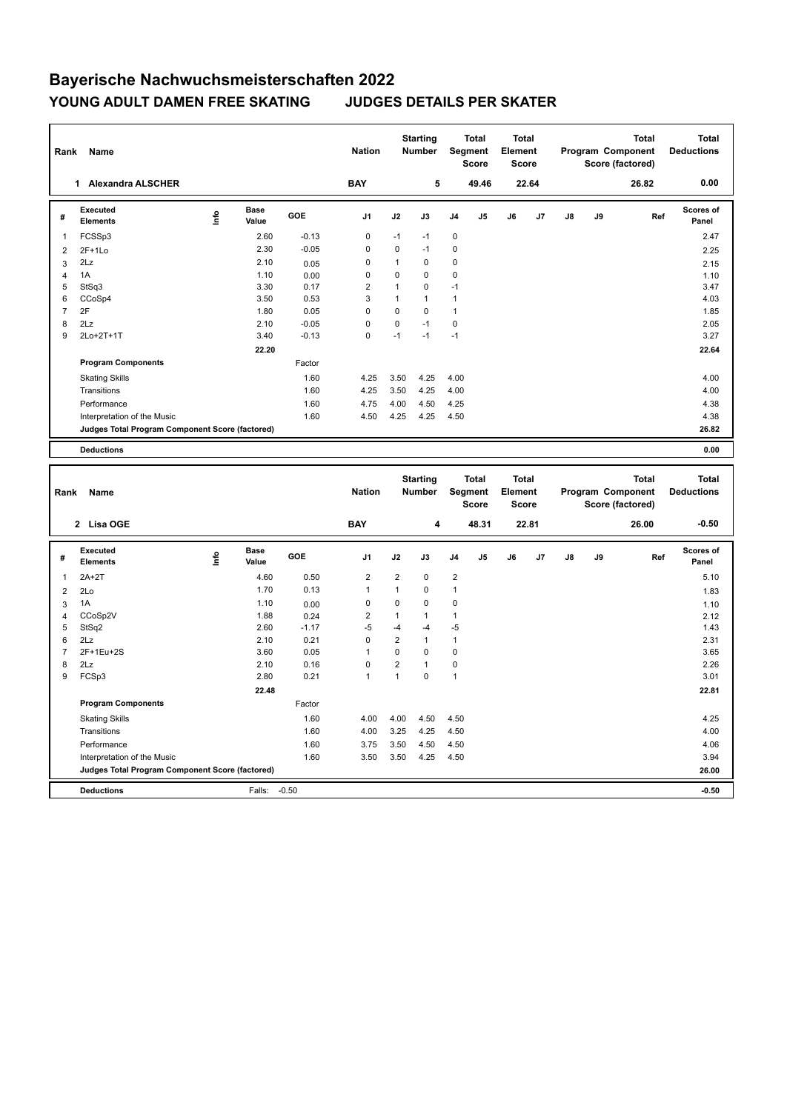## **Bayerische Nachwuchsmeisterschaften 2022 YOUNG ADULT DAMEN FREE SKATING JUDGES DETAILS PER SKATER**

| Rank           | Name                                            |            |                      |                 | <b>Nation</b>  |                | <b>Starting</b><br>Number |                | <b>Total</b><br>Segment<br><b>Score</b> | Total<br>Element<br>Score |       |    |    | <b>Total</b><br>Program Component<br>Score (factored) |     | <b>Total</b><br><b>Deductions</b> |
|----------------|-------------------------------------------------|------------|----------------------|-----------------|----------------|----------------|---------------------------|----------------|-----------------------------------------|---------------------------|-------|----|----|-------------------------------------------------------|-----|-----------------------------------|
|                | 1 Alexandra ALSCHER                             |            |                      |                 | <b>BAY</b>     |                | 5                         |                | 49.46                                   |                           | 22.64 |    |    | 26.82                                                 |     | 0.00                              |
| #              | <b>Executed</b><br>Elements                     | lnfo       | Base<br>Value        | GOE             | J1             | J2             | J3                        | J4             | J5                                      | J6                        | J7    | J8 | J9 |                                                       | Ref | Scores of<br>Panel                |
| 1              | FCSSp3                                          |            | 2.60                 | $-0.13$         | $\mathbf 0$    | $-1$           | $-1$                      | 0              |                                         |                           |       |    |    |                                                       |     | 2.47                              |
| $\overline{2}$ | $2F+1Lo$                                        |            | 2.30                 | $-0.05$         | $\mathbf 0$    | $\mathbf 0$    | $-1$                      | 0              |                                         |                           |       |    |    |                                                       |     | 2.25                              |
| 3              | 2Lz                                             |            | 2.10                 | 0.05            | $\mathbf 0$    | $\mathbf{1}$   | 0                         | $\mathsf 0$    |                                         |                           |       |    |    |                                                       |     | 2.15                              |
| $\overline{4}$ | 1A                                              |            | 1.10                 | 0.00            | $\mathbf 0$    | $\mathbf 0$    | 0                         | $\mathbf 0$    |                                         |                           |       |    |    |                                                       |     | 1.10                              |
| 5              | StSq3                                           |            | 3.30                 | 0.17            | $\overline{2}$ | $\mathbf{1}$   | 0                         | $-1$           |                                         |                           |       |    |    |                                                       |     | 3.47                              |
| 6              | CCoSp4                                          |            | 3.50                 | 0.53            | 3              | $\mathbf{1}$   | $\mathbf{1}$              | $\mathbf{1}$   |                                         |                           |       |    |    |                                                       |     | 4.03                              |
| $\overline{7}$ | 2F                                              |            | 1.80                 | 0.05            | $\mathsf 0$    | $\mathbf 0$    | 0                         | $\mathbf{1}$   |                                         |                           |       |    |    |                                                       |     | 1.85                              |
| 8              | 2Lz                                             |            | 2.10                 | $-0.05$         | $\mathbf 0$    | $\mathbf 0$    | $-1$                      | $\mathbf 0$    |                                         |                           |       |    |    |                                                       |     | 2.05                              |
| 9              | 2Lo+2T+1T                                       |            | 3.40                 | $-0.13$         | $\mathbf 0$    | $-1$           | $-1$                      | $-1$           |                                         |                           |       |    |    |                                                       |     | 3.27                              |
|                |                                                 |            | 22.20                |                 |                |                |                           |                |                                         |                           |       |    |    |                                                       |     | 22.64                             |
|                | <b>Program Components</b>                       |            |                      | Factor          |                |                |                           |                |                                         |                           |       |    |    |                                                       |     |                                   |
|                | <b>Skating Skills</b>                           |            |                      | 1.60            | 4.25           | 3.50           | 4.25                      | 4.00           |                                         |                           |       |    |    |                                                       |     | 4.00                              |
|                | Transitions                                     |            |                      | 1.60            | 4.25           | 3.50           | 4.25                      | 4.00           |                                         |                           |       |    |    |                                                       |     | 4.00                              |
|                | Performance                                     |            |                      | 1.60            | 4.75           | 4.00           | 4.50                      | 4.25           |                                         |                           |       |    |    |                                                       |     | 4.38                              |
|                | Interpretation of the Music                     |            |                      | 1.60            | 4.50           | 4.25           | 4.25                      | 4.50           |                                         |                           |       |    |    |                                                       |     | 4.38                              |
|                | Judges Total Program Component Score (factored) |            |                      |                 |                |                |                           |                |                                         |                           |       |    |    |                                                       |     | 26.82                             |
|                |                                                 |            |                      |                 |                |                |                           |                |                                         |                           |       |    |    |                                                       |     |                                   |
|                | <b>Deductions</b>                               |            |                      |                 |                |                |                           |                |                                         |                           |       |    |    |                                                       |     | 0.00                              |
|                |                                                 |            |                      |                 |                |                |                           |                |                                         |                           |       |    |    |                                                       |     |                                   |
|                |                                                 |            |                      |                 |                |                |                           |                |                                         |                           |       |    |    |                                                       |     |                                   |
|                |                                                 |            |                      |                 |                |                | <b>Starting</b>           |                | <b>Total</b>                            | <b>Total</b>              |       |    |    | <b>Total</b>                                          |     | <b>Total</b>                      |
| Rank           | Name                                            |            |                      |                 | <b>Nation</b>  |                | <b>Number</b>             |                | Segment                                 | Element                   |       |    |    | Program Component                                     |     | <b>Deductions</b>                 |
|                |                                                 |            |                      |                 |                |                |                           |                | <b>Score</b>                            | <b>Score</b>              |       |    |    | Score (factored)                                      |     |                                   |
|                | 2 Lisa OGE                                      |            |                      |                 | <b>BAY</b>     |                | 4                         |                | 48.31                                   |                           | 22.81 |    |    | 26.00                                                 |     | $-0.50$                           |
|                |                                                 |            |                      |                 |                |                |                           |                |                                         |                           |       |    |    |                                                       |     |                                   |
| #              | <b>Executed</b><br><b>Elements</b>              | <u>f</u> o | <b>Base</b><br>Value | GOE             | J1             | J2             | J3                        | J <sub>4</sub> | J5                                      | J6                        | J7    | J8 | J9 |                                                       | Ref | <b>Scores of</b><br>Panel         |
| 1              | $2A+2T$                                         |            | 4.60                 | 0.50            | $\overline{2}$ | $\overline{2}$ | 0                         | $\overline{2}$ |                                         |                           |       |    |    |                                                       |     |                                   |
|                |                                                 |            | 1.70                 | 0.13            | $\mathbf{1}$   | $\mathbf{1}$   | 0                         | $\mathbf{1}$   |                                         |                           |       |    |    |                                                       |     | 5.10                              |
| $\overline{2}$ | 2Lo<br>1A                                       |            | 1.10                 |                 | $\mathbf 0$    | $\mathbf 0$    | 0                         | $\mathbf 0$    |                                         |                           |       |    |    |                                                       |     | 1.83                              |
| 3              |                                                 |            | 1.88                 | 0.00            | $\overline{2}$ | $\mathbf{1}$   | 1                         | $\mathbf{1}$   |                                         |                           |       |    |    |                                                       |     | 1.10                              |
| 4<br>5         | CCoSp2V<br>StSq2                                |            | 2.60                 | 0.24<br>$-1.17$ | $-5$           | $-4$           | $-4$                      | $-5$           |                                         |                           |       |    |    |                                                       |     | 2.12<br>1.43                      |
| 6              | 2Lz                                             |            | 2.10                 | 0.21            | $\mathbf 0$    | $\overline{2}$ | $\mathbf{1}$              | $\mathbf{1}$   |                                         |                           |       |    |    |                                                       |     | 2.31                              |
| $\overline{7}$ | 2F+1Eu+2S                                       |            | 3.60                 | 0.05            | $\mathbf{1}$   | $\pmb{0}$      | 0                         | $\mathsf 0$    |                                         |                           |       |    |    |                                                       |     | 3.65                              |
| 8              | 2Lz                                             |            | 2.10                 | 0.16            | $\mathbf 0$    | $\overline{2}$ | 1                         | $\pmb{0}$      |                                         |                           |       |    |    |                                                       |     | 2.26                              |
| 9              | FCSp3                                           |            | 2.80                 | 0.21            | $\mathbf{1}$   | $\mathbf{1}$   | $\mathbf 0$               | $\mathbf{1}$   |                                         |                           |       |    |    |                                                       |     | 3.01                              |
|                |                                                 |            | 22.48                |                 |                |                |                           |                |                                         |                           |       |    |    |                                                       |     | 22.81                             |
|                | <b>Program Components</b>                       |            |                      | Factor          |                |                |                           |                |                                         |                           |       |    |    |                                                       |     |                                   |
|                |                                                 |            |                      |                 |                |                |                           |                |                                         |                           |       |    |    |                                                       |     |                                   |
|                | <b>Skating Skills</b>                           |            |                      | 1.60            | 4.00           | 4.00           | 4.50                      | 4.50           |                                         |                           |       |    |    |                                                       |     | 4.25                              |
|                | Transitions                                     |            |                      | 1.60            | 4.00           | 3.25           | 4.25                      | 4.50           |                                         |                           |       |    |    |                                                       |     | 4.00                              |
|                | Performance                                     |            |                      | 1.60            | 3.75           | 3.50           | 4.50                      | 4.50           |                                         |                           |       |    |    |                                                       |     | 4.06                              |
|                | Interpretation of the Music                     |            |                      | 1.60            | 3.50           | 3.50           | 4.25                      | 4.50           |                                         |                           |       |    |    |                                                       |     | 3.94                              |
|                | Judges Total Program Component Score (factored) |            |                      |                 |                |                |                           |                |                                         |                           |       |    |    |                                                       |     | 26.00                             |